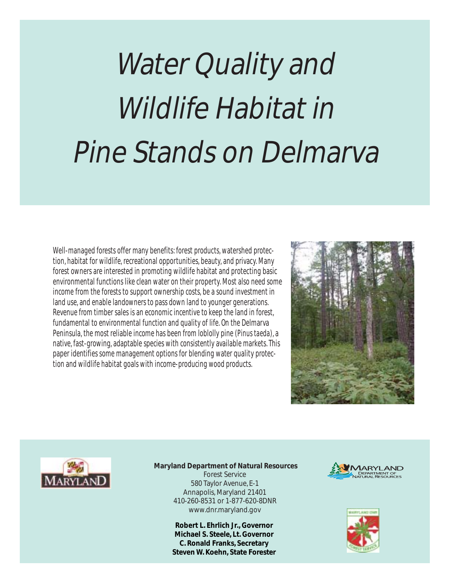# Water Quality and Wildlife Habitat in Pine Stands on Delmarva

Well-managed forests offer many benefits: forest products, watershed protection, habitat for wildlife, recreational opportunities, beauty, and privacy. Many forest owners are interested in promoting wildlife habitat and protecting basic environmental functions like clean water on their property. Most also need some income from the forests to support ownership costs, be a sound investment in land use, and enable landowners to pass down land to younger generations. Revenue from timber sales is an economic incentive to keep the land in forest, fundamental to environmental function and quality of life. On the Delmarva Peninsula, the most reliable income has been from loblolly pine (*Pinus taeda*), a native, fast-growing, adaptable species with consistently available markets. This paper identifies some management options for blending water quality protection and wildlife habitat goals with income-producing wood products.





 **Maryland Department of Natural Resources** Forest Service 580 Taylor Avenue, E-1 Annapolis, Maryland 21401 410-260-8531 or 1-877-620-8DNR www.dnr.maryland.gov

> **Robert L. Ehrlich Jr., Governor Michael S. Steele, Lt. Governor C. Ronald Franks, Secretary Steven W. Koehn, State Forester**



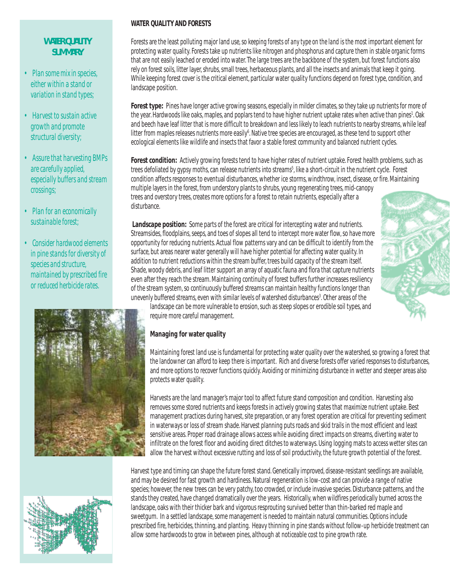# *WATER QUALITY SUMMARY*

- *• Plan some mix in species, either within a stand or variation in stand types;*
- *• Harvest to sustain active growth and promote structural diversity;*
- *• Assure that harvesting BMPs are carefully applied, especially buffers and stream crossings;*
- *• Plan for an economically sustainable forest;*
- *• Consider hardwood elements in pine stands for diversity of species and structure, maintained by prescribed fire or reduced herbicide rates.*



# **WATER QUALITY AND FORESTS**

Forests are the least polluting major land use, so *keeping forests of any type on the land* is the most important element for protecting water quality. Forests take up nutrients like nitrogen and phosphorus and capture them in stable organic forms that are not easily leached or eroded into water. The large trees are the backbone of the system, but forest functions also rely on forest soils, litter layer, shrubs, small trees, herbaceous plants, and all the insects and animals that keep it going. While keeping forest cover is the critical element, particular water quality functions depend on forest type, condition, and landscape position.

Forest type: Pines have longer active growing seasons, especially in milder climates, so they take up nutrients for more of the year. Hardwoods like oaks, maples, and poplars tend to have higher nutrient uptake rates when active than pines<sup>1</sup>. Oak and beech have leaf litter that is more difficult to breakdown and less likely to leach nutrients to nearby streams, while leaf litter from maples releases nutrients more easily<sup>6</sup>. Native tree species are encouraged, as these tend to support other ecological elements like wildlife and insects that favor a stable forest community and balanced nutrient cycles.

**Forest condition:** Actively growing forests tend to have higher rates of nutrient uptake. Forest health problems, such as trees defoliated by gypsy moths, can release nutrients into streams<sup>5</sup>, like a short-circuit in the nutrient cycle. Forest condition affects responses to eventual disturbances, whether ice storms, windthrow, insect, disease, or fire. Maintaining multiple layers in the forest, from understory plants to shrubs, young regenerating trees, mid-canopy trees and overstory trees, creates more options for a forest to retain nutrients, especially after a disturbance.

**Landscape position:** Some parts of the forest are critical for intercepting water and nutrients. Streamsides, floodplains, seeps, and toes of slopes all tend to intercept more water flow, so have more opportunity for reducing nutrients. Actual flow patterns vary and can be difficult to identify from the surface, but areas nearer water generally will have higher potential for affecting water quality. In addition to nutrient reductions within the stream buffer, trees build capacity of the stream itself. Shade, woody debris, and leaf litter support an array of aquatic fauna and flora that capture nutrients even after they reach the stream. Maintaining continuity of forest buffers further increases resiliency of the stream system, so continuously buffered streams can maintain healthy functions longer than unevenly buffered streams, even with similar levels of watershed disturbances<sup>3</sup>. Other areas of the



landscape can be more vulnerable to erosion, such as steep slopes or erodible soil types, and require more careful management.

# **Managing for water quality**

Maintaining forest land use is fundamental for protecting water quality over the watershed, so growing a forest that the landowner can afford to keep there is important. Rich and diverse forests offer varied responses to disturbances, and more options to recover functions quickly. Avoiding or minimizing disturbance in wetter and steeper areas also protects water quality.

Harvests are the land manager's major tool to affect future stand composition and condition. Harvesting also removes some stored nutrients and keeps forests in actively growing states that maximize nutrient uptake. Best management practices during harvest, site preparation, or any forest operation are critical for preventing sediment in waterways or loss of stream shade. Harvest planning puts roads and skid trails in the most efficient and least sensitive areas. Proper road drainage allows access while avoiding direct impacts on streams, diverting water to infiltrate on the forest floor and avoiding direct ditches to waterways. Using logging mats to access wetter sites can allow the harvest without excessive rutting and loss of soil productivity, the future growth potential of the forest.



Harvest type and timing can shape the future forest stand. Genetically improved, disease-resistant seedlings are available, and may be desired for fast growth and hardiness. Natural regeneration is low-cost and can provide a range of native species; however, the new trees can be very patchy, too crowded, or include invasive species. Disturbance patterns, and the stands they created, have changed dramatically over the years. Historically, when wildfires periodically burned across the landscape, oaks with their thicker bark and vigorous resprouting survived better than thin-barked red maple and sweetgum. In a settled landscape, some management is needed to maintain natural communities. Options include prescribed fire, herbicides, thinning, and planting. Heavy thinning in pine stands without follow-up herbicide treatment can allow some hardwoods to grow in between pines, although at noticeable cost to pine growth rate.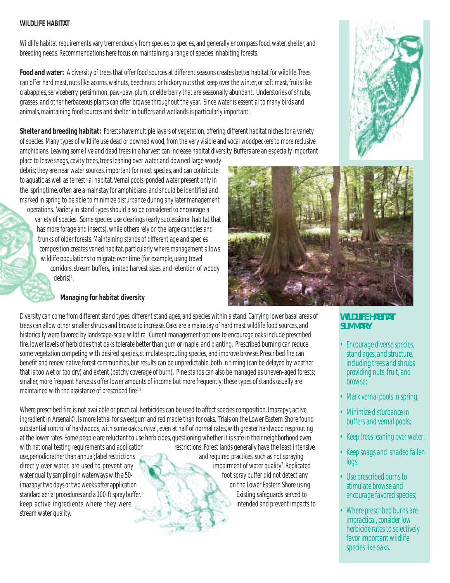#### **WILDLIFE HABITAT**

Wildlife habitat requirements vary tremendously from species to species, and generally encompass food, water, shelter, and breeding needs. Recommendations here focus on maintaining a range of species inhabiting forests.

**Food and water:** A diversity of trees that offer food sources at different seasons creates better habitat for wildlife. Trees can offer hard mast, nuts like acorns, walnuts, beechnuts, or hickory nuts that keep over the winter, or soft mast, fruits like crabapples, serviceberry, persimmon, paw-paw, plum, or elderberry that are seasonally abundant. Understories of shrubs, grasses, and other herbaceous plants can offer browse throughout the year. Since water is essential to many birds and animals, maintaining food sources and shelter in buffers and wetlands is particularly important.

**Shelter and breeding habitat:** Forests have multiple layers of vegetation, offering different habitat niches for a variety of species. Many types of wildlife use dead or downed wood, from the very visible and vocal woodpeckers to more reclusive amphibians. Leaving some live and dead trees in a harvest can increase habitat diversity. Buffers are an especially important

place to leave snags, cavity trees, trees leaning over water and downed large woody debris; they are near water sources, important for most species, and can contribute to aquatic as well as terrestrial habitat. Vernal pools, ponded water present only in the springtime, often are a mainstay for amphibians, and should be identified and marked in spring to be able to minimize disturbance during any later management operations. Variety in stand types should also be considered to encourage a

variety of species. Some species use clearings (early successional habitat that has more forage and insects), while others rely on the large canopies and trunks of older forests. Maintaining stands of different age and species composition creates varied habitat, particularly where management allows wildlife populations to migrate over time (for example, using travel corridors, stream buffers, limited harvest sizes, and retention of woody  $debris$ <sup>4</sup>. .

# **Managing for habitat diversity**

Diversity can come from different stand types, different stand ages, and species within a stand. Carrying lower basal areas of trees can allow other smaller shrubs and browse to increase. Oaks are a mainstay of hard mast wildlife food sources, and historically were favored by landscape-scale wildfire. Current management options to encourage oaks include prescribed fire, lower levels of herbicides that oaks tolerate better than gum or maple, and planting. Prescribed burning can reduce some vegetation competing with desired species, stimulate sprouting species, and improve browse. Prescribed fire can benefit and renew native forest communities, but results can be unpredictable, both in timing (can be delayed by weather that is too wet or too dry) and extent (patchy coverage of burn). Pine stands can also be managed as uneven-aged forests; smaller, more frequent harvests offer lower amounts of income but more frequently; these types of stands usually are maintained with the assistance of prescribed fire<sup>2,8</sup>.

Where prescribed fire is not available or practical, herbicides can be used to affect species composition. Imazapyr, active ingredient in Arsenal©, is more lethal for sweetgum and red maple than for oaks. Trials on the Lower Eastern Shore found substantial control of hardwoods, with some oak survival, even at half of normal rates, with greater hardwood resprouting at the lower rates. Some people are reluctant to use herbicides, questioning whether it is safe in their neighborhood even with national testing requirements and application restrictions. Forest lands generally have the least intensive use, periodic rather than annual; label restrictions and required practices, such as not spraying directly over water, are used to prevent any impairment of water quality<sup>7</sup>. Replicated water quality sampling in waterways with a 50- foot spray buffer did not detect any imazapyr two days or two weeks after application on the Lower Eastern Shore using standard aerial procedures and a 100-ft spray buffer. Existing safeguards served to keep active ingredients where they were intended and prevent impacts to stream water quality.

# *WILDLIFE HABITAT SUMMARY*

- *Encourage diverse species, stand ages, and structure, including trees and shrubs providing nuts, fruit, and browse;*
- *Mark vernal pools in spring;*
- *Minimize disturbance in buffers and vernal pools;*
- *Keep trees leaning over water;*
- *Keep snags and shaded fallen logs;*
- *Use prescribed burns to stimulate browse and encourage favored species;*
- *Where prescribed burns are impractical, consider low herbicide rates to selectively favor important wildlife species like oaks.*